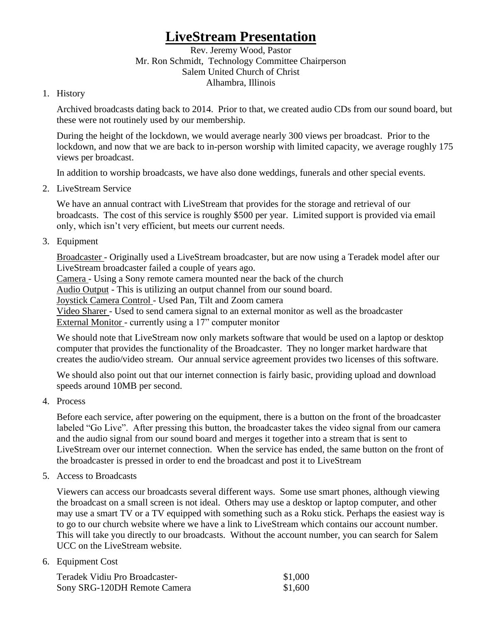## **LiveStream Presentation**

Rev. Jeremy Wood, Pastor Mr. Ron Schmidt, Technology Committee Chairperson Salem United Church of Christ Alhambra, Illinois

## 1. History

Archived broadcasts dating back to 2014. Prior to that, we created audio CDs from our sound board, but these were not routinely used by our membership.

During the height of the lockdown, we would average nearly 300 views per broadcast. Prior to the lockdown, and now that we are back to in-person worship with limited capacity, we average roughly 175 views per broadcast.

In addition to worship broadcasts, we have also done weddings, funerals and other special events.

2. LiveStream Service

We have an annual contract with LiveStream that provides for the storage and retrieval of our broadcasts. The cost of this service is roughly \$500 per year. Limited support is provided via email only, which isn't very efficient, but meets our current needs.

3. Equipment

Broadcaster - Originally used a LiveStream broadcaster, but are now using a Teradek model after our LiveStream broadcaster failed a couple of years ago.

Camera - Using a Sony remote camera mounted near the back of the church

Audio Output - This is utilizing an output channel from our sound board.

Joystick Camera Control - Used Pan, Tilt and Zoom camera

Video Sharer - Used to send camera signal to an external monitor as well as the broadcaster External Monitor - currently using a 17" computer monitor

We should note that LiveStream now only markets software that would be used on a laptop or desktop computer that provides the functionality of the Broadcaster. They no longer market hardware that creates the audio/video stream. Our annual service agreement provides two licenses of this software.

We should also point out that our internet connection is fairly basic, providing upload and download speeds around 10MB per second.

4. Process

Before each service, after powering on the equipment, there is a button on the front of the broadcaster labeled "Go Live". After pressing this button, the broadcaster takes the video signal from our camera and the audio signal from our sound board and merges it together into a stream that is sent to LiveStream over our internet connection. When the service has ended, the same button on the front of the broadcaster is pressed in order to end the broadcast and post it to LiveStream

5. Access to Broadcasts

Viewers can access our broadcasts several different ways. Some use smart phones, although viewing the broadcast on a small screen is not ideal. Others may use a desktop or laptop computer, and other may use a smart TV or a TV equipped with something such as a Roku stick. Perhaps the easiest way is to go to our church website where we have a link to LiveStream which contains our account number. This will take you directly to our broadcasts. Without the account number, you can search for Salem UCC on the LiveStream website.

6. Equipment Cost

| Teradek Vidiu Pro Broadcaster- | \$1,000 |
|--------------------------------|---------|
| Sony SRG-120DH Remote Camera   | \$1,600 |